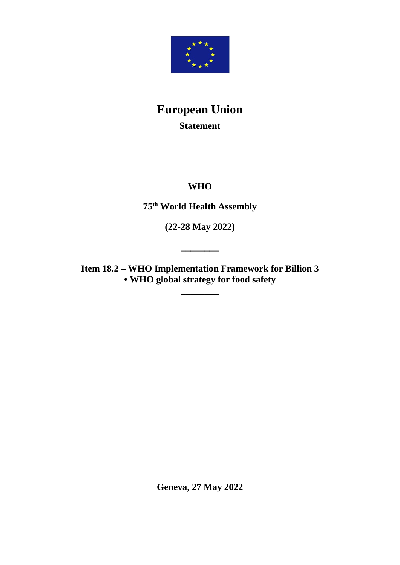

# **European Union Statement**

# **WHO**

**75th World Health Assembly**

**(22-28 May 2022)**

**\_\_\_\_\_\_\_\_**

**Item 18.2 – WHO Implementation Framework for Billion 3 • WHO global strategy for food safety**

**\_\_\_\_\_\_\_\_**

**Geneva, 27 May 2022**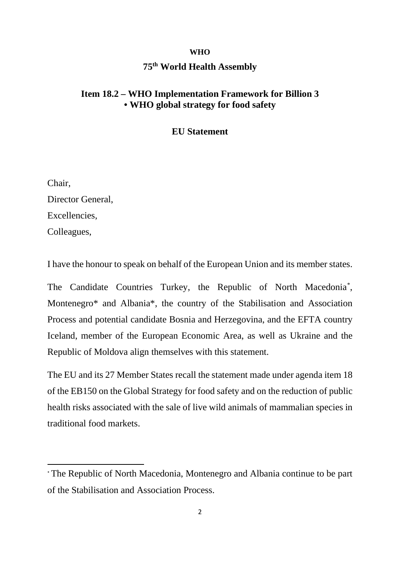#### **WHO**

### **75th World Health Assembly**

## **Item 18.2 – WHO Implementation Framework for Billion 3 • WHO global strategy for food safety**

#### **EU Statement**

Chair, Director General, Excellencies, Colleagues,

I have the honour to speak on behalf of the European Union and its member states.

The Candidate Countries Turkey, the Republic of North Macedonia[\\*](#page-1-0) , Montenegro\* and Albania\*, the country of the Stabilisation and Association Process and potential candidate Bosnia and Herzegovina, and the EFTA country Iceland, member of the European Economic Area, as well as Ukraine and the Republic of Moldova align themselves with this statement.

The EU and its 27 Member States recall the statement made under agenda item 18 of the EB150 on the Global Strategy for food safety and on the reduction of public health risks associated with the sale of live wild animals of mammalian species in traditional food markets.

<span id="page-1-0"></span><sup>\*</sup> The Republic of North Macedonia, Montenegro and Albania continue to be part of the Stabilisation and Association Process.